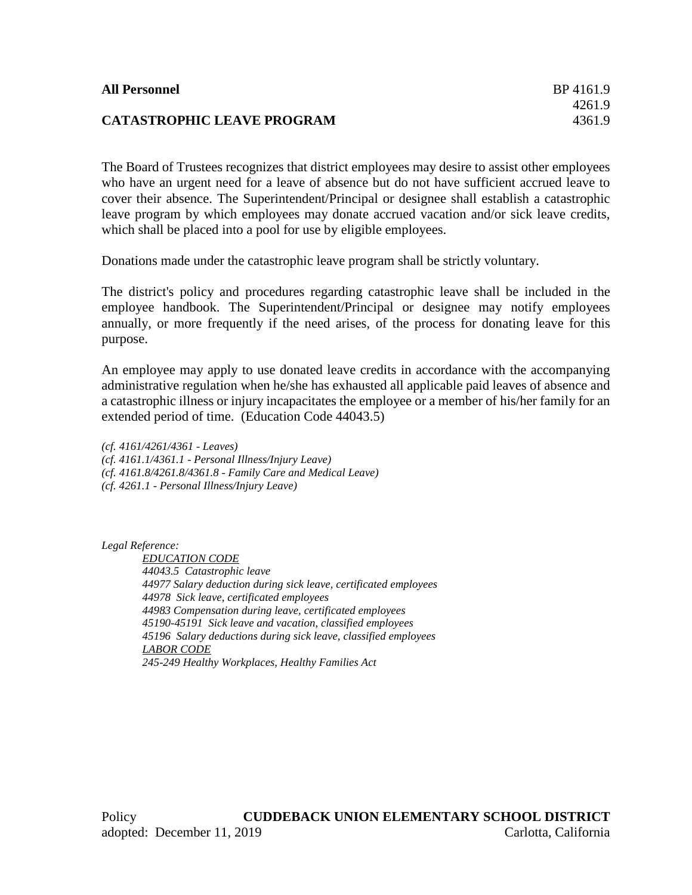## **CATASTROPHIC LEAVE PROGRAM** 4361.9

The Board of Trustees recognizes that district employees may desire to assist other employees who have an urgent need for a leave of absence but do not have sufficient accrued leave to cover their absence. The Superintendent/Principal or designee shall establish a catastrophic leave program by which employees may donate accrued vacation and/or sick leave credits, which shall be placed into a pool for use by eligible employees.

Donations made under the catastrophic leave program shall be strictly voluntary.

The district's policy and procedures regarding catastrophic leave shall be included in the employee handbook. The Superintendent/Principal or designee may notify employees annually, or more frequently if the need arises, of the process for donating leave for this purpose.

An employee may apply to use donated leave credits in accordance with the accompanying administrative regulation when he/she has exhausted all applicable paid leaves of absence and a catastrophic illness or injury incapacitates the employee or a member of his/her family for an extended period of time. (Education Code 44043.5)

*(cf. 4161/4261/4361 - Leaves) (cf. 4161.1/4361.1 - Personal Illness/Injury Leave) (cf. 4161.8/4261.8/4361.8 - Family Care and Medical Leave) (cf. 4261.1 - Personal Illness/Injury Leave)*

*Legal Reference:*

*EDUCATION CODE 44043.5 Catastrophic leave 44977 Salary deduction during sick leave, certificated employees 44978 Sick leave, certificated employees 44983 Compensation during leave, certificated employees 45190-45191 Sick leave and vacation, classified employees 45196 Salary deductions during sick leave, classified employees LABOR CODE 245-249 Healthy Workplaces, Healthy Families Act*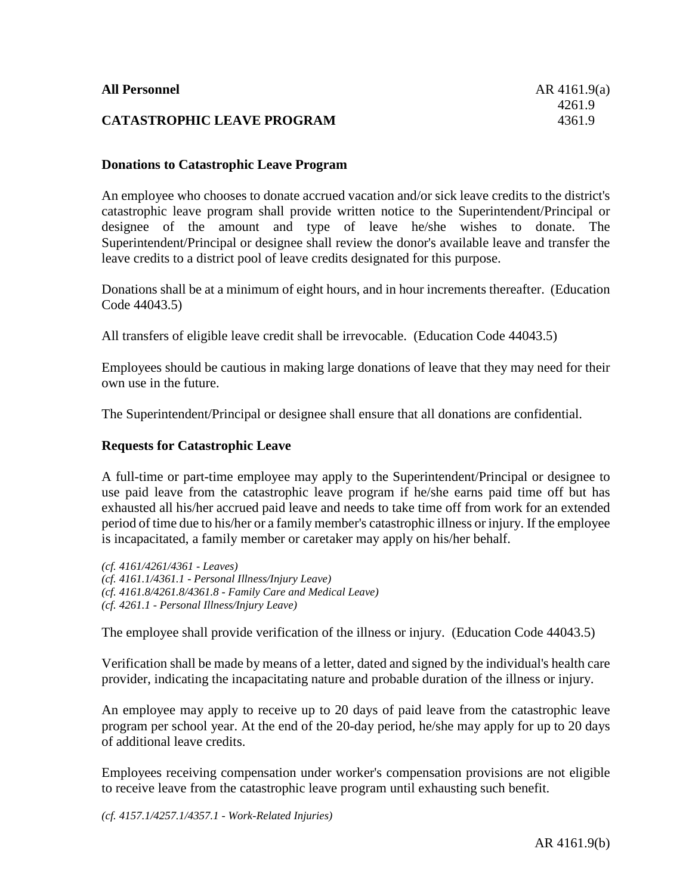## **Donations to Catastrophic Leave Program**

An employee who chooses to donate accrued vacation and/or sick leave credits to the district's catastrophic leave program shall provide written notice to the Superintendent/Principal or designee of the amount and type of leave he/she wishes to donate. The Superintendent/Principal or designee shall review the donor's available leave and transfer the leave credits to a district pool of leave credits designated for this purpose.

Donations shall be at a minimum of eight hours, and in hour increments thereafter. (Education Code 44043.5)

All transfers of eligible leave credit shall be irrevocable. (Education Code 44043.5)

Employees should be cautious in making large donations of leave that they may need for their own use in the future.

The Superintendent/Principal or designee shall ensure that all donations are confidential.

## **Requests for Catastrophic Leave**

A full-time or part-time employee may apply to the Superintendent/Principal or designee to use paid leave from the catastrophic leave program if he/she earns paid time off but has exhausted all his/her accrued paid leave and needs to take time off from work for an extended period of time due to his/her or a family member's catastrophic illness or injury. If the employee is incapacitated, a family member or caretaker may apply on his/her behalf.

*(cf. 4161/4261/4361 - Leaves) (cf. 4161.1/4361.1 - Personal Illness/Injury Leave) (cf. 4161.8/4261.8/4361.8 - Family Care and Medical Leave) (cf. 4261.1 - Personal Illness/Injury Leave)*

The employee shall provide verification of the illness or injury. (Education Code 44043.5)

Verification shall be made by means of a letter, dated and signed by the individual's health care provider, indicating the incapacitating nature and probable duration of the illness or injury.

An employee may apply to receive up to 20 days of paid leave from the catastrophic leave program per school year. At the end of the 20-day period, he/she may apply for up to 20 days of additional leave credits.

Employees receiving compensation under worker's compensation provisions are not eligible to receive leave from the catastrophic leave program until exhausting such benefit.